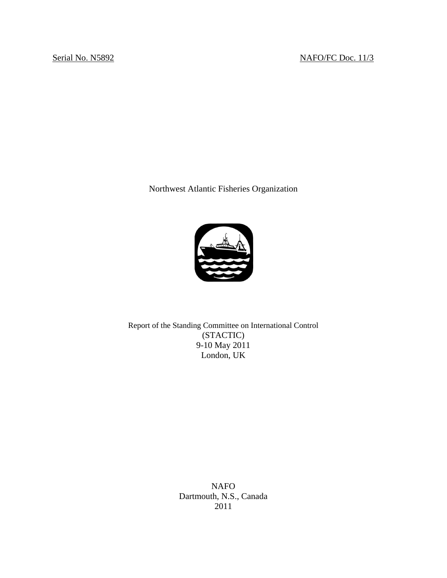Northwest Atlantic Fisheries Organization



Report of the Standing Committee on International Control (STACTIC) 9-10 May 2011 London, UK

> NAFO Dartmouth, N.S., Canada 2011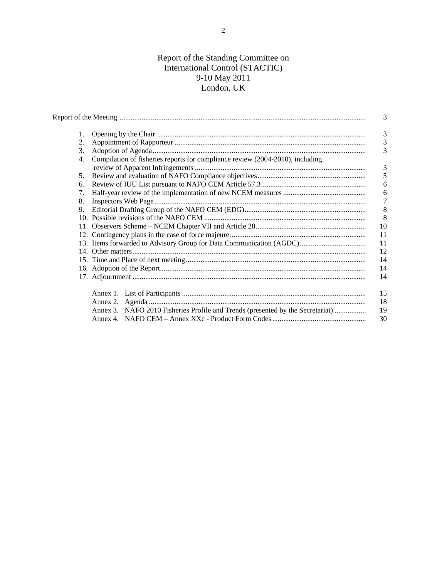# Report of the Standing Committee on International Control (STACTIC) 9-10 May 2011 London, UK

|    |                                                                                | 3  |  |  |  |  |  |  |  |
|----|--------------------------------------------------------------------------------|----|--|--|--|--|--|--|--|
| 1. |                                                                                |    |  |  |  |  |  |  |  |
| 2. |                                                                                |    |  |  |  |  |  |  |  |
| 3. |                                                                                |    |  |  |  |  |  |  |  |
| 4. | Compilation of fisheries reports for compliance review (2004-2010), including  | 3  |  |  |  |  |  |  |  |
| 5. |                                                                                | 5  |  |  |  |  |  |  |  |
| 6. |                                                                                |    |  |  |  |  |  |  |  |
| 7. |                                                                                |    |  |  |  |  |  |  |  |
| 8. | 7                                                                              |    |  |  |  |  |  |  |  |
| 9. | 8                                                                              |    |  |  |  |  |  |  |  |
|    | 8                                                                              |    |  |  |  |  |  |  |  |
|    | 10                                                                             |    |  |  |  |  |  |  |  |
|    | 11                                                                             |    |  |  |  |  |  |  |  |
|    | 11                                                                             |    |  |  |  |  |  |  |  |
|    | 12                                                                             |    |  |  |  |  |  |  |  |
|    | 14                                                                             |    |  |  |  |  |  |  |  |
|    | 14                                                                             |    |  |  |  |  |  |  |  |
|    |                                                                                | 14 |  |  |  |  |  |  |  |
|    |                                                                                | 15 |  |  |  |  |  |  |  |
|    |                                                                                | 18 |  |  |  |  |  |  |  |
|    | Annex 3. NAFO 2010 Fisheries Profile and Trends (presented by the Secretariat) | 19 |  |  |  |  |  |  |  |
|    |                                                                                | 30 |  |  |  |  |  |  |  |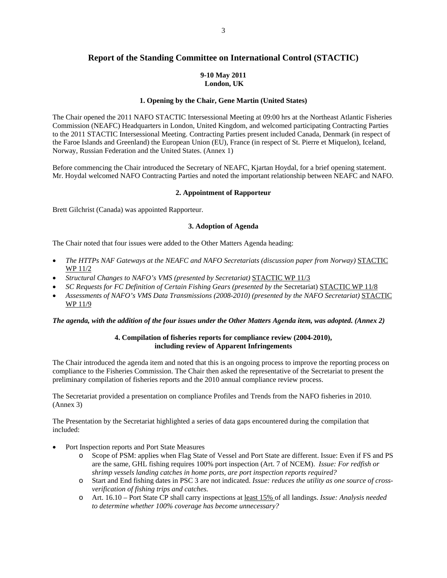# **Report of the Standing Committee on International Control (STACTIC)**

#### **9-10 May 2011 London, UK**

## **1. Opening by the Chair, Gene Martin (United States)**

The Chair opened the 2011 NAFO STACTIC Intersessional Meeting at 09:00 hrs at the Northeast Atlantic Fisheries Commission (NEAFC) Headquarters in London, United Kingdom, and welcomed participating Contracting Parties to the 2011 STACTIC Intersessional Meeting. Contracting Parties present included Canada, Denmark (in respect of the Faroe Islands and Greenland) the European Union (EU), France (in respect of St. Pierre et Miquelon), Iceland, Norway, Russian Federation and the United States. (Annex 1)

Before commencing the Chair introduced the Secretary of NEAFC, Kjartan Hoydal, for a brief opening statement. Mr. Hoydal welcomed NAFO Contracting Parties and noted the important relationship between NEAFC and NAFO.

#### **2. Appointment of Rapporteur**

Brett Gilchrist (Canada) was appointed Rapporteur.

## **3. Adoption of Agenda**

The Chair noted that four issues were added to the Other Matters Agenda heading:

- *The HTTPs NAF Gateways at the NEAFC and NAFO Secretariats (discussion paper from Norway)* STACTIC WP 11/2
- *Structural Changes to NAFO's VMS (presented by Secretariat)* STACTIC WP 11/3
- *SC Requests for FC Definition of Certain Fishing Gears (presented by the* Secretariat) STACTIC WP 11/8
- *Assessments of NAFO's VMS Data Transmissions (2008-2010) (presented by the NAFO Secretariat)* STACTIC WP 11/9

## *The agenda, with the addition of the four issues under the Other Matters Agenda item, was adopted. (Annex 2)*

# **4. Compilation of fisheries reports for compliance review (2004-2010), including review of Apparent Infringements**

The Chair introduced the agenda item and noted that this is an ongoing process to improve the reporting process on compliance to the Fisheries Commission. The Chair then asked the representative of the Secretariat to present the preliminary compilation of fisheries reports and the 2010 annual compliance review process.

The Secretariat provided a presentation on compliance Profiles and Trends from the NAFO fisheries in 2010. (Annex 3)

The Presentation by the Secretariat highlighted a series of data gaps encountered during the compilation that included:

- Port Inspection reports and Port State Measures
	- o Scope of PSM: applies when Flag State of Vessel and Port State are different. Issue: Even if FS and PS are the same, GHL fishing requires 100% port inspection (Art. 7 of NCEM). *Issue: For redfish or shrimp vessels landing catches in home ports, are port inspection reports required?*
	- o Start and End fishing dates in PSC 3 are not indicated. *Issue: reduces the utility as one source of crossverification of fishing trips and catches.*
	- o Art. 16.10 Port State CP shall carry inspections at least 15% of all landings. *Issue: Analysis needed to determine whether 100% coverage has become unnecessary?*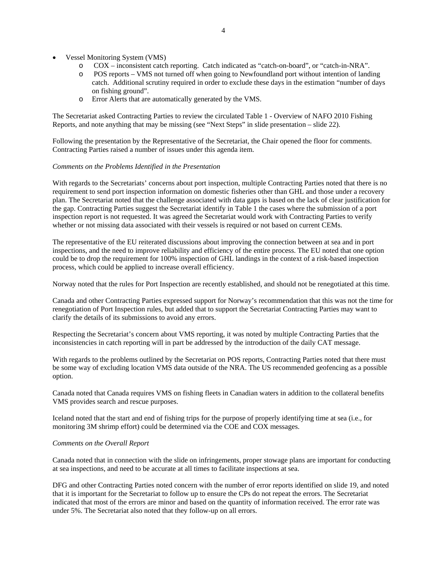- Vessel Monitoring System (VMS)
	- o COX inconsistent catch reporting. Catch indicated as "catch-on-board", or "catch-in-NRA".
	- o POS reports VMS not turned off when going to Newfoundland port without intention of landing catch. Additional scrutiny required in order to exclude these days in the estimation "number of days on fishing ground".
	- o Error Alerts that are automatically generated by the VMS.

The Secretariat asked Contracting Parties to review the circulated Table 1 - Overview of NAFO 2010 Fishing Reports, and note anything that may be missing (see "Next Steps" in slide presentation – slide 22).

Following the presentation by the Representative of the Secretariat, the Chair opened the floor for comments. Contracting Parties raised a number of issues under this agenda item.

## *Comments on the Problems Identified in the Presentation*

With regards to the Secretariats' concerns about port inspection, multiple Contracting Parties noted that there is no requirement to send port inspection information on domestic fisheries other than GHL and those under a recovery plan. The Secretariat noted that the challenge associated with data gaps is based on the lack of clear justification for the gap. Contracting Parties suggest the Secretariat identify in Table 1 the cases where the submission of a port inspection report is not requested. It was agreed the Secretariat would work with Contracting Parties to verify whether or not missing data associated with their vessels is required or not based on current CEMs.

The representative of the EU reiterated discussions about improving the connection between at sea and in port inspections, and the need to improve reliability and efficiency of the entire process. The EU noted that one option could be to drop the requirement for 100% inspection of GHL landings in the context of a risk-based inspection process, which could be applied to increase overall efficiency.

Norway noted that the rules for Port Inspection are recently established, and should not be renegotiated at this time.

Canada and other Contracting Parties expressed support for Norway's recommendation that this was not the time for renegotiation of Port Inspection rules, but added that to support the Secretariat Contracting Parties may want to clarify the details of its submissions to avoid any errors.

Respecting the Secretariat's concern about VMS reporting, it was noted by multiple Contracting Parties that the inconsistencies in catch reporting will in part be addressed by the introduction of the daily CAT message.

With regards to the problems outlined by the Secretariat on POS reports, Contracting Parties noted that there must be some way of excluding location VMS data outside of the NRA. The US recommended geofencing as a possible option.

Canada noted that Canada requires VMS on fishing fleets in Canadian waters in addition to the collateral benefits VMS provides search and rescue purposes.

Iceland noted that the start and end of fishing trips for the purpose of properly identifying time at sea (i.e., for monitoring 3M shrimp effort) could be determined via the COE and COX messages.

#### *Comments on the Overall Report*

Canada noted that in connection with the slide on infringements, proper stowage plans are important for conducting at sea inspections, and need to be accurate at all times to facilitate inspections at sea.

DFG and other Contracting Parties noted concern with the number of error reports identified on slide 19, and noted that it is important for the Secretariat to follow up to ensure the CPs do not repeat the errors. The Secretariat indicated that most of the errors are minor and based on the quantity of information received. The error rate was under 5%. The Secretariat also noted that they follow-up on all errors.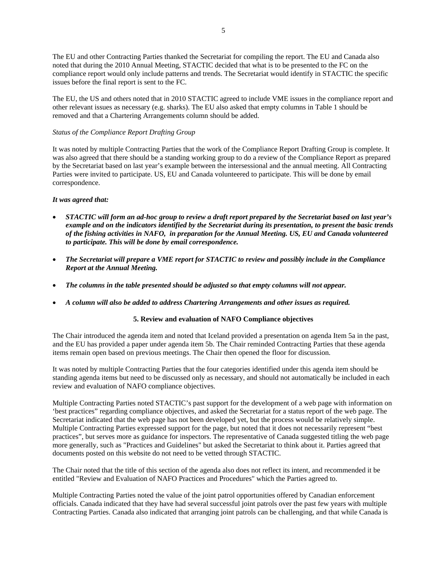The EU and other Contracting Parties thanked the Secretariat for compiling the report. The EU and Canada also noted that during the 2010 Annual Meeting, STACTIC decided that what is to be presented to the FC on the compliance report would only include patterns and trends. The Secretariat would identify in STACTIC the specific issues before the final report is sent to the FC.

The EU, the US and others noted that in 2010 STACTIC agreed to include VME issues in the compliance report and other relevant issues as necessary (e.g. sharks). The EU also asked that empty columns in Table 1 should be removed and that a Chartering Arrangements column should be added.

## *Status of the Compliance Report Drafting Group*

It was noted by multiple Contracting Parties that the work of the Compliance Report Drafting Group is complete. It was also agreed that there should be a standing working group to do a review of the Compliance Report as prepared by the Secretariat based on last year's example between the intersessional and the annual meeting. All Contracting Parties were invited to participate. US, EU and Canada volunteered to participate. This will be done by email correspondence.

## *It was agreed that:*

- *STACTIC will form an ad-hoc group to review a draft report prepared by the Secretariat based on last year's example and on the indicators identified by the Secretariat during its presentation, to present the basic trends of the fishing activities in NAFO, in preparation for the Annual Meeting. US, EU and Canada volunteered to participate. This will be done by email correspondence.*
- *The Secretariat will prepare a VME report for STACTIC to review and possibly include in the Compliance Report at the Annual Meeting.*
- *The columns in the table presented should be adjusted so that empty columns will not appear.*
- *A column will also be added to address Chartering Arrangements and other issues as required.*

# **5. Review and evaluation of NAFO Compliance objectives**

The Chair introduced the agenda item and noted that Iceland provided a presentation on agenda Item 5a in the past, and the EU has provided a paper under agenda item 5b. The Chair reminded Contracting Parties that these agenda items remain open based on previous meetings. The Chair then opened the floor for discussion.

It was noted by multiple Contracting Parties that the four categories identified under this agenda item should be standing agenda items but need to be discussed only as necessary, and should not automatically be included in each review and evaluation of NAFO compliance objectives.

Multiple Contracting Parties noted STACTIC's past support for the development of a web page with information on 'best practices" regarding compliance objectives, and asked the Secretariat for a status report of the web page. The Secretariat indicated that the web page has not been developed yet, but the process would be relatively simple. Multiple Contracting Parties expressed support for the page, but noted that it does not necessarily represent "best practices", but serves more as guidance for inspectors. The representative of Canada suggested titling the web page more generally, such as "Practices and Guidelines" but asked the Secretariat to think about it. Parties agreed that documents posted on this website do not need to be vetted through STACTIC.

The Chair noted that the title of this section of the agenda also does not reflect its intent, and recommended it be entitled "Review and Evaluation of NAFO Practices and Procedures" which the Parties agreed to.

Multiple Contracting Parties noted the value of the joint patrol opportunities offered by Canadian enforcement officials. Canada indicated that they have had several successful joint patrols over the past few years with multiple Contracting Parties. Canada also indicated that arranging joint patrols can be challenging, and that while Canada is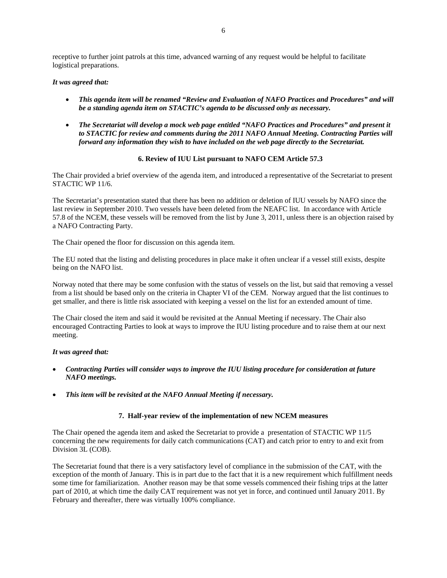receptive to further joint patrols at this time, advanced warning of any request would be helpful to facilitate logistical preparations.

#### *It was agreed that:*

- *This agenda item will be renamed "Review and Evaluation of NAFO Practices and Procedures" and will be a standing agenda item on STACTIC's agenda to be discussed only as necessary.*
- *The Secretariat will develop a mock web page entitled "NAFO Practices and Procedures" and present it to STACTIC for review and comments during the 2011 NAFO Annual Meeting. Contracting Parties will forward any information they wish to have included on the web page directly to the Secretariat.*

# **6. Review of IUU List pursuant to NAFO CEM Article 57.3**

The Chair provided a brief overview of the agenda item, and introduced a representative of the Secretariat to present STACTIC WP 11/6.

The Secretariat's presentation stated that there has been no addition or deletion of IUU vessels by NAFO since the last review in September 2010. Two vessels have been deleted from the NEAFC list. In accordance with Article 57.8 of the NCEM, these vessels will be removed from the list by June 3, 2011, unless there is an objection raised by a NAFO Contracting Party.

The Chair opened the floor for discussion on this agenda item.

The EU noted that the listing and delisting procedures in place make it often unclear if a vessel still exists, despite being on the NAFO list.

Norway noted that there may be some confusion with the status of vessels on the list, but said that removing a vessel from a list should be based only on the criteria in Chapter VI of the CEM. Norway argued that the list continues to get smaller, and there is little risk associated with keeping a vessel on the list for an extended amount of time.

The Chair closed the item and said it would be revisited at the Annual Meeting if necessary. The Chair also encouraged Contracting Parties to look at ways to improve the IUU listing procedure and to raise them at our next meeting.

#### *It was agreed that:*

- *Contracting Parties will consider ways to improve the IUU listing procedure for consideration at future NAFO meetings.*
- *This item will be revisited at the NAFO Annual Meeting if necessary.*

#### **7. Half-year review of the implementation of new NCEM measures**

The Chair opened the agenda item and asked the Secretariat to provide a presentation of STACTIC WP 11/5 concerning the new requirements for daily catch communications (CAT) and catch prior to entry to and exit from Division 3L (COB).

The Secretariat found that there is a very satisfactory level of compliance in the submission of the CAT, with the exception of the month of January. This is in part due to the fact that it is a new requirement which fulfillment needs some time for familiarization. Another reason may be that some vessels commenced their fishing trips at the latter part of 2010, at which time the daily CAT requirement was not yet in force, and continued until January 2011. By February and thereafter, there was virtually 100% compliance.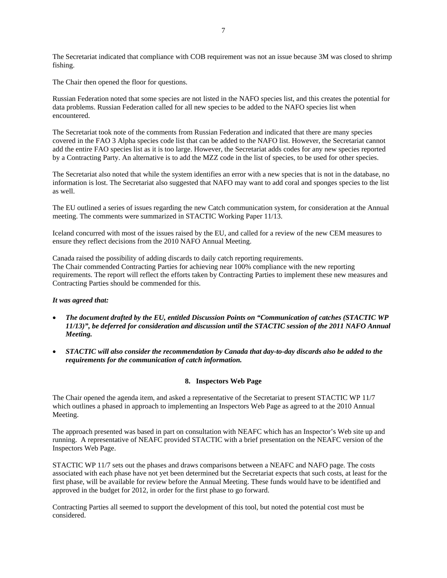The Secretariat indicated that compliance with COB requirement was not an issue because 3M was closed to shrimp fishing.

The Chair then opened the floor for questions.

Russian Federation noted that some species are not listed in the NAFO species list, and this creates the potential for data problems. Russian Federation called for all new species to be added to the NAFO species list when encountered.

The Secretariat took note of the comments from Russian Federation and indicated that there are many species covered in the FAO 3 Alpha species code list that can be added to the NAFO list. However, the Secretariat cannot add the entire FAO species list as it is too large. However, the Secretariat adds codes for any new species reported by a Contracting Party. An alternative is to add the MZZ code in the list of species, to be used for other species.

The Secretariat also noted that while the system identifies an error with a new species that is not in the database, no information is lost. The Secretariat also suggested that NAFO may want to add coral and sponges species to the list as well.

The EU outlined a series of issues regarding the new Catch communication system, for consideration at the Annual meeting. The comments were summarized in STACTIC Working Paper 11/13.

Iceland concurred with most of the issues raised by the EU, and called for a review of the new CEM measures to ensure they reflect decisions from the 2010 NAFO Annual Meeting.

Canada raised the possibility of adding discards to daily catch reporting requirements. The Chair commended Contracting Parties for achieving near 100% compliance with the new reporting requirements. The report will reflect the efforts taken by Contracting Parties to implement these new measures and Contracting Parties should be commended for this.

# *It was agreed that:*

- *The document drafted by the EU, entitled Discussion Points on "Communication of catches (STACTIC WP 11/13)", be deferred for consideration and discussion until the STACTIC session of the 2011 NAFO Annual Meeting.*
- *STACTIC will also consider the recommendation by Canada that day-to-day discards also be added to the requirements for the communication of catch information.*

#### **8. Inspectors Web Page**

The Chair opened the agenda item, and asked a representative of the Secretariat to present STACTIC WP 11/7 which outlines a phased in approach to implementing an Inspectors Web Page as agreed to at the 2010 Annual Meeting.

The approach presented was based in part on consultation with NEAFC which has an Inspector's Web site up and running. A representative of NEAFC provided STACTIC with a brief presentation on the NEAFC version of the Inspectors Web Page.

STACTIC WP 11/7 sets out the phases and draws comparisons between a NEAFC and NAFO page. The costs associated with each phase have not yet been determined but the Secretariat expects that such costs, at least for the first phase, will be available for review before the Annual Meeting. These funds would have to be identified and approved in the budget for 2012, in order for the first phase to go forward.

Contracting Parties all seemed to support the development of this tool, but noted the potential cost must be considered.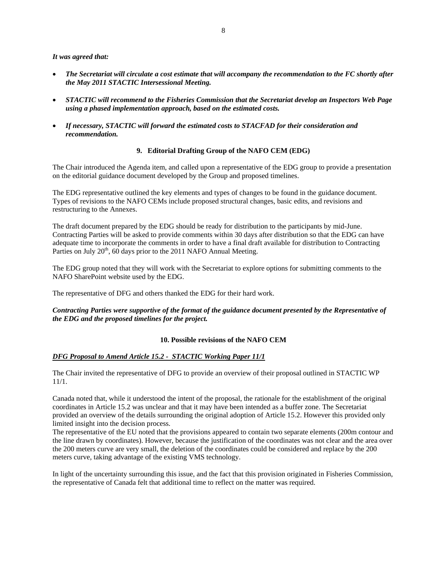#### *It was agreed that:*

- *The Secretariat will circulate a cost estimate that will accompany the recommendation to the FC shortly after the May 2011 STACTIC Intersessional Meeting.*
- *STACTIC will recommend to the Fisheries Commission that the Secretariat develop an Inspectors Web Page using a phased implementation approach, based on the estimated costs.*
- *If necessary, STACTIC will forward the estimated costs to STACFAD for their consideration and recommendation.*

## **9. Editorial Drafting Group of the NAFO CEM (EDG)**

The Chair introduced the Agenda item, and called upon a representative of the EDG group to provide a presentation on the editorial guidance document developed by the Group and proposed timelines.

The EDG representative outlined the key elements and types of changes to be found in the guidance document. Types of revisions to the NAFO CEMs include proposed structural changes, basic edits, and revisions and restructuring to the Annexes.

The draft document prepared by the EDG should be ready for distribution to the participants by mid-June. Contracting Parties will be asked to provide comments within 30 days after distribution so that the EDG can have adequate time to incorporate the comments in order to have a final draft available for distribution to Contracting Parties on July  $20<sup>th</sup>$ , 60 days prior to the 2011 NAFO Annual Meeting.

The EDG group noted that they will work with the Secretariat to explore options for submitting comments to the NAFO SharePoint website used by the EDG.

The representative of DFG and others thanked the EDG for their hard work.

*Contracting Parties were supportive of the format of the guidance document presented by the Representative of the EDG and the proposed timelines for the project.* 

# **10. Possible revisions of the NAFO CEM**

## *DFG Proposal to Amend Article 15.2 - STACTIC Working Paper 11/1*

The Chair invited the representative of DFG to provide an overview of their proposal outlined in STACTIC WP 11/1.

Canada noted that, while it understood the intent of the proposal, the rationale for the establishment of the original coordinates in Article 15.2 was unclear and that it may have been intended as a buffer zone. The Secretariat provided an overview of the details surrounding the original adoption of Article 15.2. However this provided only limited insight into the decision process.

The representative of the EU noted that the provisions appeared to contain two separate elements (200m contour and the line drawn by coordinates). However, because the justification of the coordinates was not clear and the area over the 200 meters curve are very small, the deletion of the coordinates could be considered and replace by the 200 meters curve, taking advantage of the existing VMS technology.

In light of the uncertainty surrounding this issue, and the fact that this provision originated in Fisheries Commission, the representative of Canada felt that additional time to reflect on the matter was required.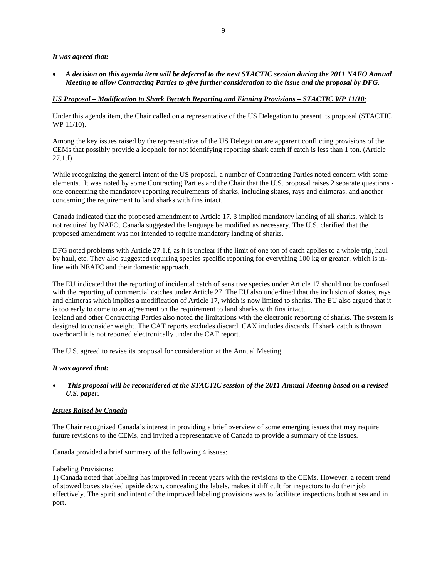## *It was agreed that:*

• *A decision on this agenda item will be deferred to the next STACTIC session during the 2011 NAFO Annual Meeting to allow Contracting Parties to give further consideration to the issue and the proposal by DFG.* 

## *US Proposal – Modification to Shark Bycatch Reporting and Finning Provisions – STACTIC WP 11/10*:

Under this agenda item, the Chair called on a representative of the US Delegation to present its proposal (STACTIC WP 11/10).

Among the key issues raised by the representative of the US Delegation are apparent conflicting provisions of the CEMs that possibly provide a loophole for not identifying reporting shark catch if catch is less than 1 ton. (Article 27.1.f)

While recognizing the general intent of the US proposal, a number of Contracting Parties noted concern with some elements. It was noted by some Contracting Parties and the Chair that the U.S. proposal raises 2 separate questions one concerning the mandatory reporting requirements of sharks, including skates, rays and chimeras, and another concerning the requirement to land sharks with fins intact.

Canada indicated that the proposed amendment to Article 17. 3 implied mandatory landing of all sharks, which is not required by NAFO. Canada suggested the language be modified as necessary. The U.S. clarified that the proposed amendment was not intended to require mandatory landing of sharks.

DFG noted problems with Article 27.1.f, as it is unclear if the limit of one ton of catch applies to a whole trip, haul by haul, etc. They also suggested requiring species specific reporting for everything 100 kg or greater, which is inline with NEAFC and their domestic approach.

The EU indicated that the reporting of incidental catch of sensitive species under Article 17 should not be confused with the reporting of commercial catches under Article 27. The EU also underlined that the inclusion of skates, rays and chimeras which implies a modification of Article 17, which is now limited to sharks. The EU also argued that it is too early to come to an agreement on the requirement to land sharks with fins intact. Iceland and other Contracting Parties also noted the limitations with the electronic reporting of sharks. The system is designed to consider weight. The CAT reports excludes discard. CAX includes discards. If shark catch is thrown overboard it is not reported electronically under the CAT report.

The U.S. agreed to revise its proposal for consideration at the Annual Meeting.

#### *It was agreed that:*

# • *This proposal will be reconsidered at the STACTIC session of the 2011 Annual Meeting based on a revised U.S. paper.*

#### *Issues Raised by Canada*

The Chair recognized Canada's interest in providing a brief overview of some emerging issues that may require future revisions to the CEMs, and invited a representative of Canada to provide a summary of the issues.

Canada provided a brief summary of the following 4 issues:

#### Labeling Provisions:

1) Canada noted that labeling has improved in recent years with the revisions to the CEMs. However, a recent trend of stowed boxes stacked upside down, concealing the labels, makes it difficult for inspectors to do their job effectively. The spirit and intent of the improved labeling provisions was to facilitate inspections both at sea and in port.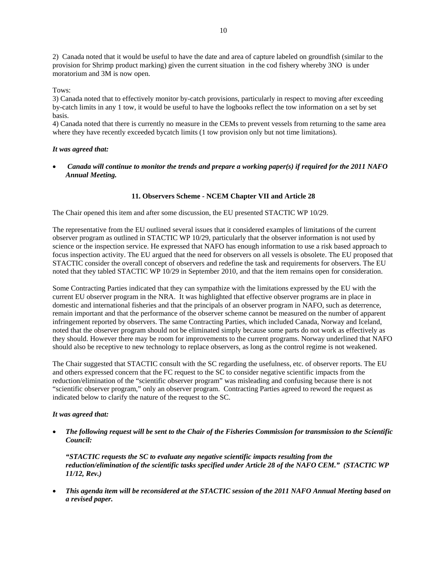2) Canada noted that it would be useful to have the date and area of capture labeled on groundfish (similar to the provision for Shrimp product marking) given the current situation in the cod fishery whereby 3NO is under moratorium and 3M is now open.

Tows:

3) Canada noted that to effectively monitor by-catch provisions, particularly in respect to moving after exceeding by-catch limits in any 1 tow, it would be useful to have the logbooks reflect the tow information on a set by set basis.

4) Canada noted that there is currently no measure in the CEMs to prevent vessels from returning to the same area where they have recently exceeded bycatch limits (1 tow provision only but not time limitations).

#### *It was agreed that:*

• *Canada will continue to monitor the trends and prepare a working paper(s) if required for the 2011 NAFO Annual Meeting.* 

# **11. Observers Scheme - NCEM Chapter VII and Article 28**

The Chair opened this item and after some discussion, the EU presented STACTIC WP 10/29.

The representative from the EU outlined several issues that it considered examples of limitations of the current observer program as outlined in STACTIC WP 10/29, particularly that the observer information is not used by science or the inspection service. He expressed that NAFO has enough information to use a risk based approach to focus inspection activity. The EU argued that the need for observers on all vessels is obsolete. The EU proposed that STACTIC consider the overall concept of observers and redefine the task and requirements for observers. The EU noted that they tabled STACTIC WP 10/29 in September 2010, and that the item remains open for consideration.

Some Contracting Parties indicated that they can sympathize with the limitations expressed by the EU with the current EU observer program in the NRA. It was highlighted that effective observer programs are in place in domestic and international fisheries and that the principals of an observer program in NAFO, such as deterrence, remain important and that the performance of the observer scheme cannot be measured on the number of apparent infringement reported by observers. The same Contracting Parties, which included Canada, Norway and Iceland, noted that the observer program should not be eliminated simply because some parts do not work as effectively as they should. However there may be room for improvements to the current programs. Norway underlined that NAFO should also be receptive to new technology to replace observers, as long as the control regime is not weakened.

The Chair suggested that STACTIC consult with the SC regarding the usefulness, etc. of observer reports. The EU and others expressed concern that the FC request to the SC to consider negative scientific impacts from the reduction/elimination of the "scientific observer program" was misleading and confusing because there is not "scientific observer program," only an observer program. Contracting Parties agreed to reword the request as indicated below to clarify the nature of the request to the SC.

#### *It was agreed that:*

• *The following request will be sent to the Chair of the Fisheries Commission for transmission to the Scientific Council:* 

*"STACTIC requests the SC to evaluate any negative scientific impacts resulting from the reduction/elimination of the scientific tasks specified under Article 28 of the NAFO CEM." (STACTIC WP 11/12, Rev.)* 

• *This agenda item will be reconsidered at the STACTIC session of the 2011 NAFO Annual Meeting based on a revised paper.*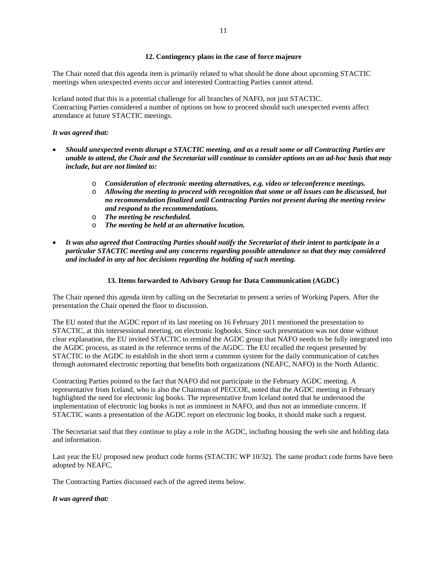The Chair noted that this agenda item is primarily related to what should be done about upcoming STACTIC meetings when unexpected events occur and interested Contracting Parties cannot attend.

Iceland noted that this is a potential challenge for all branches of NAFO, not just STACTIC. Contracting Parties considered a number of options on how to proceed should such unexpected events affect attendance at future STACTIC meetings.

#### *It was agreed that:*

- *Should unexpected events disrupt a STACTIC meeting, and as a result some or all Contracting Parties are unable to attend, the Chair and the Secretariat will continue to consider options on an ad-hoc basis that may include, but are not limited to:* 
	- o *Consideration of electronic meeting alternatives, e.g. video or teleconference meetings.*
	- o *Allowing the meeting to proceed with recognition that some or all issues can be discussed, but no recommendation finalized until Contracting Parties not present during the meeting review and respond to the recommendations.*
	- o *The meeting be rescheduled.*
	- o *The meeting be held at an alternative location.*
- *It was also agreed that Contracting Parties should notify the Secretariat of their intent to participate in a particular STACTIC meeting and any concerns regarding possible attendance so that they may considered and included in any ad hoc decisions regarding the holding of such meeting.*

## **13. Items forwarded to Advisory Group for Data Communication (AGDC)**

The Chair opened this agenda item by calling on the Secretariat to present a series of Working Papers. After the presentation the Chair opened the floor to discussion.

The EU noted that the AGDC report of its last meeting on 16 February 2011 mentioned the presentation to STACTIC, at this intersessional meeting, on electronic logbooks. Since such presentation was not done without clear explanation, the EU invited STACTIC to remind the AGDC group that NAFO needs to be fully integrated into the AGDC process, as stated in the reference terms of the AGDC. The EU recalled the request presented by STACTIC to the AGDC to establish in the short term a common system for the daily communication of catches through automated electronic reporting that benefits both organizations (NEAFC, NAFO) in the North Atlantic.

Contracting Parties pointed to the fact that NAFO did not participate in the February AGDC meeting. A representative from Iceland, who is also the Chairman of PECCOE, noted that the AGDC meeting in February highlighted the need for electronic log books. The representative from Iceland noted that he understood the implementation of electronic log books is not as imminent in NAFO, and thus not an immediate concern. If STACTIC wants a presentation of the AGDC report on electronic log books, it should make such a request.

The Secretariat said that they continue to play a role in the AGDC, including housing the web site and holding data and information.

Last year the EU proposed new product code forms (STACTIC WP 10/32). The same product code forms have been adopted by NEAFC.

The Contracting Parties discussed each of the agreed items below.

#### *It was agreed that:*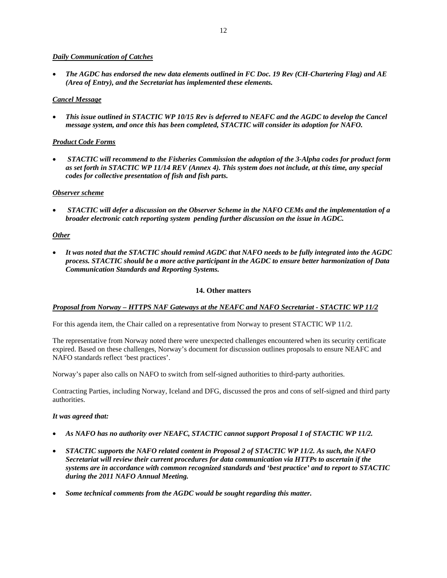## *Daily Communication of Catches*

• *The AGDC has endorsed the new data elements outlined in FC Doc. 19 Rev (CH-Chartering Flag) and AE (Area of Entry), and the Secretariat has implemented these elements.* 

## *Cancel Message*

• *This issue outlined in STACTIC WP 10/15 Rev is deferred to NEAFC and the AGDC to develop the Cancel message system, and once this has been completed, STACTIC will consider its adoption for NAFO.* 

## *Product Code Forms*

• *STACTIC will recommend to the Fisheries Commission the adoption of the 3-Alpha codes for product form as set forth in STACTIC WP 11/14 REV (Annex 4). This system does not include, at this time, any special codes for collective presentation of fish and fish parts.* 

## *Observer scheme*

• *STACTIC will defer a discussion on the Observer Scheme in the NAFO CEMs and the implementation of a broader electronic catch reporting system pending further discussion on the issue in AGDC.* 

## *Other*

• *It was noted that the STACTIC should remind AGDC that NAFO needs to be fully integrated into the AGDC process. STACTIC should be a more active participant in the AGDC to ensure better harmonization of Data Communication Standards and Reporting Systems.* 

#### **14. Other matters**

#### *Proposal from Norway – HTTPS NAF Gateways at the NEAFC and NAFO Secretariat - STACTIC WP 11/2*

For this agenda item, the Chair called on a representative from Norway to present STACTIC WP 11/2.

The representative from Norway noted there were unexpected challenges encountered when its security certificate expired. Based on these challenges, Norway's document for discussion outlines proposals to ensure NEAFC and NAFO standards reflect 'best practices'.

Norway's paper also calls on NAFO to switch from self-signed authorities to third-party authorities.

Contracting Parties, including Norway, Iceland and DFG, discussed the pros and cons of self-signed and third party authorities.

#### *It was agreed that:*

- *As NAFO has no authority over NEAFC, STACTIC cannot support Proposal 1 of STACTIC WP 11/2.*
- *STACTIC supports the NAFO related content in Proposal 2 of STACTIC WP 11/2. As such, the NAFO Secretariat will review their current procedures for data communication via HTTPs to ascertain if the systems are in accordance with common recognized standards and 'best practice' and to report to STACTIC during the 2011 NAFO Annual Meeting.*
- *Some technical comments from the AGDC would be sought regarding this matter.*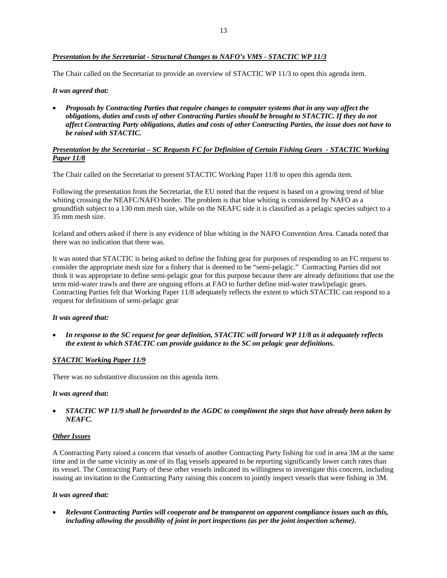## *Presentation by the Secretariat - Structural Changes to NAFO's VMS - STACTIC WP 11/3*

The Chair called on the Secretariat to provide an overview of STACTIC WP 11/3 to open this agenda item.

#### *It was agreed that:*

• *Proposals by Contracting Parties that require changes to computer systems that in any way affect the obligations, duties and costs of other Contracting Parties should be brought to STACTIC. If they do not affect Contracting Party obligations, duties and costs of other Contracting Parties, the issue does not have to be raised with STACTIC.* 

#### *Presentation by the Secretariat – SC Requests FC for Definition of Certain Fishing Gears - STACTIC Working Paper 11/8*

The Chair called on the Secretariat to present STACTIC Working Paper 11/8 to open this agenda item.

Following the presentation from the Secretariat, the EU noted that the request is based on a growing trend of blue whiting crossing the NEAFC/NAFO border. The problem is that blue whiting is considered by NAFO as a groundfish subject to a 130 mm mesh size, while on the NEAFC side it is classified as a pelagic species subject to a 35 mm mesh size.

Iceland and others asked if there is any evidence of blue whiting in the NAFO Convention Area. Canada noted that there was no indication that there was.

It was noted that STACTIC is being asked to define the fishing gear for purposes of responding to an FC request to consider the appropriate mesh size for a fishery that is deemed to be "semi-pelagic." Contracting Parties did not think it was appropriate to define semi-pelagic gear for this purpose because there are already definitions that use the term mid-water trawls and there are ongoing efforts at FAO to further define mid-water trawl/pelagic gears. Contracting Parties felt that Working Paper 11/8 adequately reflects the extent to which STACTIC can respond to a request for definitions of semi-pelagic gear

#### *It was agreed that:*

• *In response to the SC request for gear definition, STACTIC will forward WP 11/8 as it adequately reflects the extent to which STACTIC can provide guidance to the SC on pelagic gear definitions.* 

#### *STACTIC Working Paper 11/9*

There was no substantive discussion on this agenda item.

#### *It was agreed that:*

• *STACTIC WP 11/9 shall be forwarded to the AGDC to compliment the steps that have already been taken by NEAFC.* 

#### *Other Issues*

A Contracting Party raised a concern that vessels of another Contracting Party fishing for cod in area 3M at the same time and in the same vicinity as one of its flag vessels appeared to be reporting significantly lower catch rates than its vessel. The Contracting Party of these other vessels indicated its willingness to investigate this concern, including issuing an invitation to the Contracting Party raising this concern to jointly inspect vessels that were fishing in 3M.

#### *It was agreed that:*

• *Relevant Contracting Parties will cooperate and be transparent on apparent compliance issues such as this, including allowing the possibility of joint in port inspections (as per the joint inspection scheme).*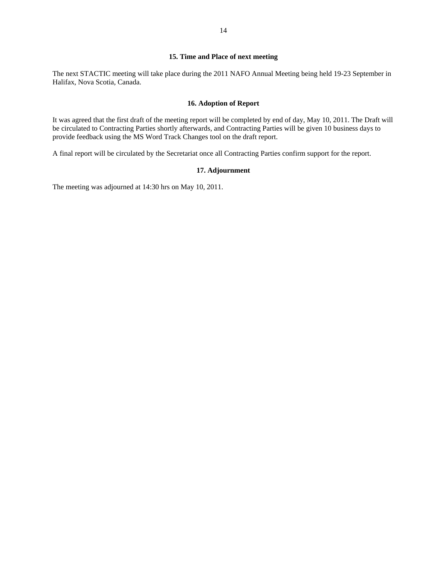# **15. Time and Place of next meeting**

The next STACTIC meeting will take place during the 2011 NAFO Annual Meeting being held 19-23 September in Halifax, Nova Scotia, Canada.

#### **16. Adoption of Report**

It was agreed that the first draft of the meeting report will be completed by end of day, May 10, 2011. The Draft will be circulated to Contracting Parties shortly afterwards, and Contracting Parties will be given 10 business days to provide feedback using the MS Word Track Changes tool on the draft report.

A final report will be circulated by the Secretariat once all Contracting Parties confirm support for the report.

#### **17. Adjournment**

The meeting was adjourned at 14:30 hrs on May 10, 2011.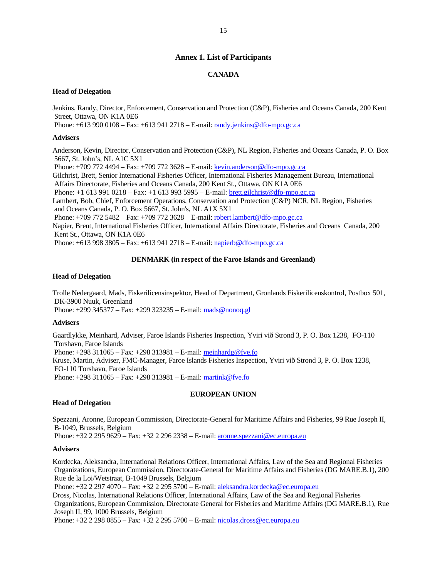# **Annex 1. List of Participants**

# **CANADA**

#### **Head of Delegation**

Jenkins, Randy, Director, Enforcement, Conservation and Protection (C&P), Fisheries and Oceans Canada, 200 Kent Street, Ottawa, ON K1A 0E6

Phone: +613 990 0108 – Fax: +613 941 2718 – E-mail: randy.jenkins@dfo-mpo.gc.ca

#### **Advisers**

Anderson, Kevin, Director, Conservation and Protection (C&P), NL Region, Fisheries and Oceans Canada, P. O. Box 5667, St. John's, NL A1C 5X1 Phone: +709 772 4494 – Fax: +709 772 3628 – E-mail: kevin.anderson@dfo-mpo.gc.ca Gilchrist, Brett, Senior International Fisheries Officer, International Fisheries Management Bureau, International Affairs Directorate, Fisheries and Oceans Canada, 200 Kent St., Ottawa, ON K1A 0E6 Phone: +1 613 991 0218 – Fax: +1 613 993 5995 – E-mail: brett.gilchrist@dfo-mpo.gc.ca Lambert, Bob, Chief, Enforcement Operations, Conservation and Protection (C&P) NCR, NL Region, Fisheries and Oceans Canada, P. O. Box 5667, St. John's, NL A1X 5X1 Phone: +709 772 5482 – Fax: +709 772 3628 – E-mail: robert.lambert@dfo-mpo.gc.ca Napier, Brent, International Fisheries Officer, International Affairs Directorate, Fisheries and Oceans Canada, 200 Kent St., Ottawa, ON K1A 0E6

Phone: +613 998 3805 – Fax: +613 941 2718 – E-mail: napierb@dfo-mpo.gc.ca

## **DENMARK (in respect of the Faroe Islands and Greenland)**

# **Head of Delegation**

Trolle Nedergaard, Mads, Fiskerilicensinspektor, Head of Department, Gronlands Fiskerilicenskontrol, Postbox 501, DK-3900 Nuuk, Greenland Phone: +299 345377 – Fax: +299 323235 – E-mail: mads@nonoq.gl

# **Advisers**

Gaardlykke, Meinhard, Adviser, Faroe Islands Fisheries Inspection, Yviri við Strond 3, P. O. Box 1238, FO-110 Torshavn, Faroe Islands Phone: +298 311065 – Fax: +298 313981 – E-mail: meinhardg@fve.fo Kruse, Martin, Adviser, FMC-Manager, Faroe Islands Fisheries Inspection, Yviri við Strond 3, P. O. Box 1238, FO-110 Torshavn, Faroe Islands Phone: +298 311065 – Fax: +298 313981 – E-mail: martink@fve.fo

#### **EUROPEAN UNION**

# **Head of Delegation**

Spezzani, Aronne, European Commission, Directorate-General for Maritime Affairs and Fisheries, 99 Rue Joseph II, B-1049, Brussels, Belgium

Phone: +32 2 295 9629 – Fax: +32 2 296 2338 – E-mail: aronne.spezzani@ec.europa.eu

#### **Advisers**

Kordecka, Aleksandra, International Relations Officer, International Affairs, Law of the Sea and Regional Fisheries Organizations, European Commission, Directorate-General for Maritime Affairs and Fisheries (DG MARE.B.1), 200 Rue de la Loi/Wetstraat, B-1049 Brussels, Belgium

Phone: +32 2 297 4070 – Fax: +32 2 295 5700 – E-mail: aleksandra.kordecka@ec.europa.eu

Dross, Nicolas, International Relations Officer, International Affairs, Law of the Sea and Regional Fisheries Organizations, European Commission, Directorate General for Fisheries and Maritime Affairs (DG MARE.B.1), Rue Joseph II, 99, 1000 Brussels, Belgium

Phone: +32 2 298 0855 – Fax: +32 2 295 5700 – E-mail: nicolas.dross@ec.europa.eu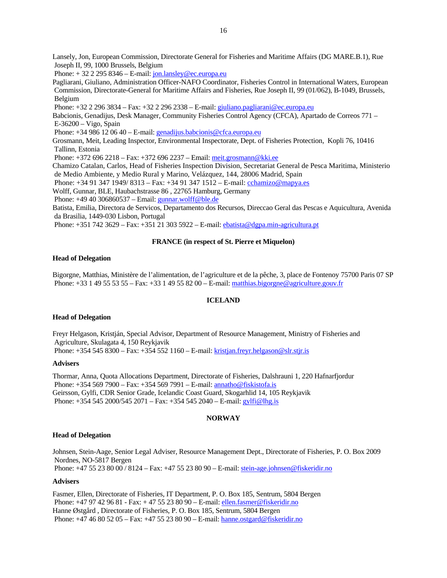Lansely, Jon, European Commission, Directorate General for Fisheries and Maritime Affairs (DG MARE.B.1), Rue Joseph II, 99, 1000 Brussels, Belgium

Phone:  $+ 32 2 295 8346 - E$ -mail: jon.lansley@ec.europa.eu

Pagliarani, Giuliano, Administration Officer-NAFO Coordinator, Fisheries Control in International Waters, European Commission, Directorate-General for Maritime Affairs and Fisheries, Rue Joseph II, 99 (01/062), B-1049, Brussels, Belgium

Phone: +32 2 296 3834 – Fax: +32 2 296 2338 – E-mail: giuliano.pagliarani@ec.europa.eu

Babcionis, Genadijus, Desk Manager, Community Fisheries Control Agency (CFCA), Apartado de Correos 771 – E-36200 – Vigo, Spain

Phone: +34 986 12 06 40 – E-mail: genadijus.babcionis@cfca.europa.eu

Grosmann, Meit, Leading Inspector, Environmental Inspectorate, Dept. of Fisheries Protection, Kopli 76, 10416 Tallinn, Estonia

Phone: +372 696 2218 – Fax: +372 696 2237 – Email: meit.grosmann@kki.ee

Chamizo Catalan, Carlos, Head of Fisheries Inspection Division, Secretariat General de Pesca Maritima, Ministerio de Medio Ambiente, y Medio Rural y Marino, Velázquez, 144, 28006 Madrid, Spain

Phone: +34 91 347 1949/ 8313 – Fax: +34 91 347 1512 – E-mail: cchamizo@mapya.es

Wolff, Gunnar, BLE, Haubachstrasse 86 , 22765 Hamburg, Germany

Phone: +49 40 306860537 – Email: gunnar.wolff@ble.de

Batista, Emilia, Directora de Servicos, Departamento dos Recursos, Direccao Geral das Pescas e Aquicultura, Avenida da Brasilia, 1449-030 Lisbon, Portugal

Phone: +351 742 3629 – Fax: +351 21 303 5922 – E-mail: ebatista@dgpa.min-agricultura.pt

## **FRANCE (in respect of St. Pierre et Miquelon)**

#### **Head of Delegation**

Bigorgne, Matthias, Ministère de l'alimentation, de l'agriculture et de la pêche, 3, place de Fontenoy 75700 Paris 07 SP Phone: +33 1 49 55 53 55 – Fax: +33 1 49 55 82 00 – E-mail: matthias.bigorgne@agriculture.gouv.fr

#### **ICELAND**

#### **Head of Delegation**

Freyr Helgason, Kristján, Special Advisor, Department of Resource Management, Ministry of Fisheries and Agriculture, Skulagata 4, 150 Reykjavik Phone: +354 545 8300 – Fax: +354 552 1160 – E-mail: kristjan.freyr.helgason@slr.stjr.is

#### **Advisers**

Thormar, Anna, Quota Allocations Department, Directorate of Fisheries, Dalshrauni 1, 220 Hafnarfjordur Phone: +354 569 7900 – Fax: +354 569 7991 – E-mail: annatho@fiskistofa.is Geirsson, Gylfi, CDR Senior Grade, Icelandic Coast Guard, Skogarhlid 14, 105 Reykjavik Phone: +354 545 2000/545 2071 – Fax: +354 545 2040 – E-mail: gylfi@lhg.is

#### **NORWAY**

#### **Head of Delegation**

Johnsen, Stein-Aage, Senior Legal Adviser, Resource Management Dept., Directorate of Fisheries, P. O. Box 2009 Nordnes, NO-5817 Bergen Phone: +47 55 23 80 00 / 8124 – Fax: +47 55 23 80 90 – E-mail: stein-age.johnsen@fiskeridir.no

#### **Advisers**

Fasmer, Ellen, Directorate of Fisheries, IT Department, P. O. Box 185, Sentrum, 5804 Bergen Phone: +47 97 42 96 81 - Fax: + 47 55 23 80 90 – E-mail: ellen.fasmer@fiskeridir.no Hanne Østgård , Directorate of Fisheries, P. O. Box 185, Sentrum, 5804 Bergen Phone: +47 46 80 52 05 – Fax: +47 55 23 80 90 – E-mail: hanne.ostgard@fiskeridir.no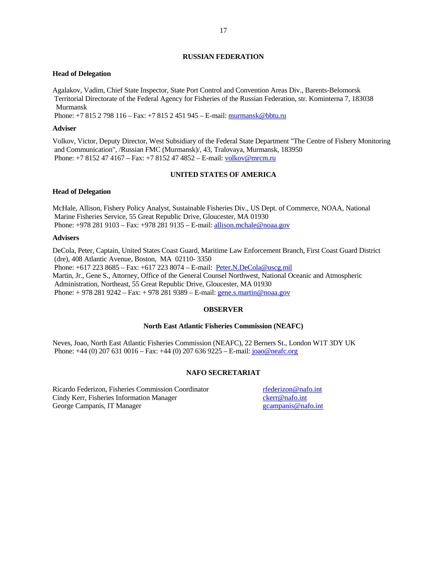#### **RUSSIAN FEDERATION**

#### **Head of Delegation**

Agalakov, Vadim, Chief State Inspector, State Port Control and Convention Areas Div., Barents-Belomorsk Territorial Directorate of the Federal Agency for Fisheries of the Russian Federation, str. Kominterna 7, 183038 Murmansk

Phone: +7 815 2 798 116 – Fax: +7 815 2 451 945 – E-mail: murmansk@bbtu.ru

#### **Adviser**

Volkov, Victor, Deputy Director, West Subsidiary of the Federal State Department "The Centre of Fishery Monitoring and Communication", /Russian FMC (Murmansk)/, 43, Tralovaya, Murmansk, 183950 Phone: +7 8152 47 4167 – Fax: +7 8152 47 4852 – E-mail: volkov@mrcm.ru

## **UNITED STATES OF AMERICA**

#### **Head of Delegation**

McHale, Allison, Fishery Policy Analyst, Sustainable Fisheries Div., US Dept. of Commerce, NOAA, National Marine Fisheries Service, 55 Great Republic Drive, Gloucester, MA 01930 Phone: +978 281 9103 – Fax: +978 281 9135 – E-mail: allison.mchale@noaa.gov

#### **Advisers**

DeCola, Peter, Captain, United States Coast Guard, Maritime Law Enforcement Branch, First Coast Guard District (dre), 408 Atlantic Avenue, Boston, MA 02110- 3350 Phone: +617 223 8685 – Fax: +617 223 8074 – E-mail: Peter.N.DeCola@uscg.mil Martin, Jr., Gene S., Attorney, Office of the General Counsel Northwest, National Oceanic and Atmospheric Administration, Northeast, 55 Great Republic Drive, Gloucester, MA 01930 Phone: + 978 281 9242 – Fax: + 978 281 9389 – E-mail: gene.s.martin@noaa.gov

## **OBSERVER**

#### **North East Atlantic Fisheries Commission (NEAFC)**

Neves, Joao, North East Atlantic Fisheries Commission (NEAFC), 22 Berners St., London W1T 3DY UK Phone: +44 (0) 207 631 0016 – Fax: +44 (0) 207 636 9225 – E-mail: joao@neafc.org

## **NAFO SECRETARIAT**

Ricardo Federizon, Fisheries Commission Coordinator rfederizon@nafo.int Cindy Kerr, Fisheries Information Manager charges charged the charge campanis Ceorge Campanis, IT Manager campanis Ceorge Campanis Ceorge Campanis Ceorge Campanis Ceorge Campanis Ceorge Campanis Ceorge Campanis Ceorge Camp George Campanis, IT Manager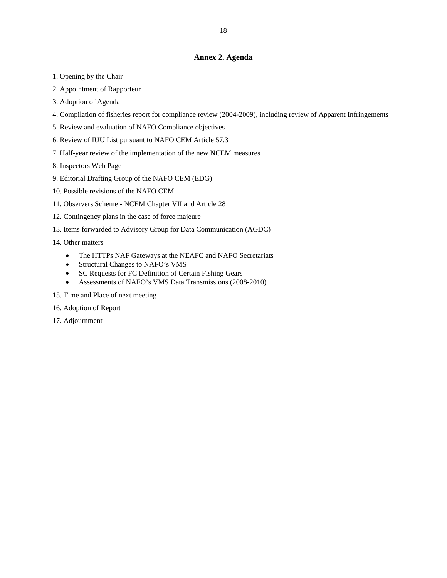# **Annex 2. Agenda**

- 1. Opening by the Chair
- 2. Appointment of Rapporteur
- 3. Adoption of Agenda
- 4. Compilation of fisheries report for compliance review (2004-2009), including review of Apparent Infringements
- 5. Review and evaluation of NAFO Compliance objectives
- 6. Review of IUU List pursuant to NAFO CEM Article 57.3
- 7. Half-year review of the implementation of the new NCEM measures
- 8. Inspectors Web Page
- 9. Editorial Drafting Group of the NAFO CEM (EDG)
- 10. Possible revisions of the NAFO CEM
- 11. Observers Scheme NCEM Chapter VII and Article 28
- 12. Contingency plans in the case of force majeure
- 13. Items forwarded to Advisory Group for Data Communication (AGDC)

14. Other matters

- The HTTPs NAF Gateways at the NEAFC and NAFO Secretariats
- Structural Changes to NAFO's VMS
- SC Requests for FC Definition of Certain Fishing Gears
- Assessments of NAFO's VMS Data Transmissions (2008-2010)
- 15. Time and Place of next meeting
- 16. Adoption of Report
- 17. Adjournment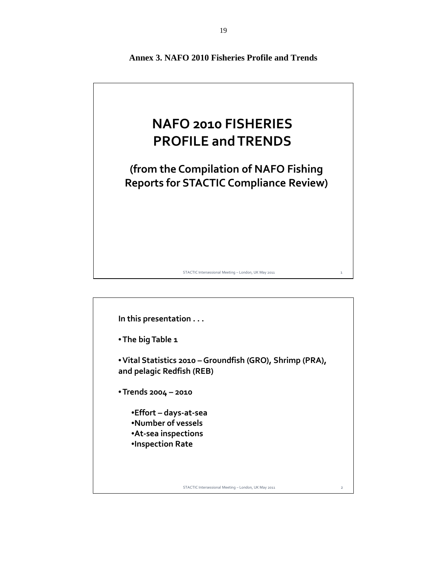

**In this presentation . . .** •**The big Table 1** •**Vital Statistics 2010 – Groundfish (GRO), Shrimp (PRA), and pelagic Redfish (REB)** •**Trends 2004 – 2010** •**Effort – days‐at‐sea** •**Number of vessels** •**At‐sea inspections** •**Inspection Rate**

STACTIC Intersessional Meeting - London, UK May 2011

**Annex 3. NAFO 2010 Fisheries Profile and Trends**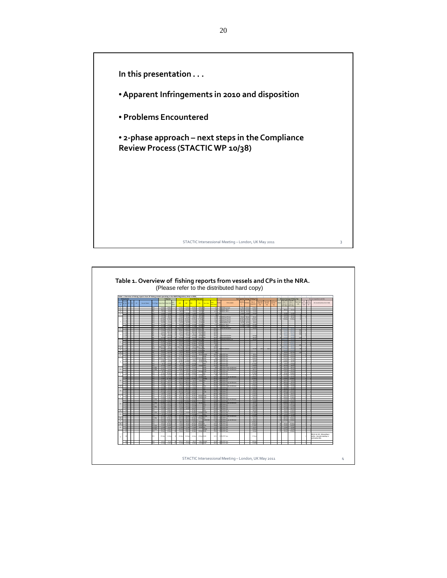

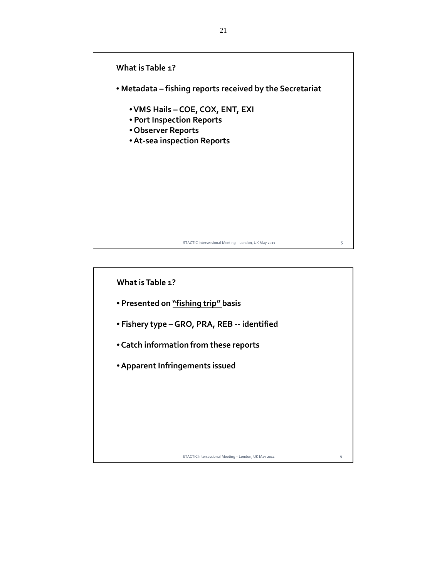

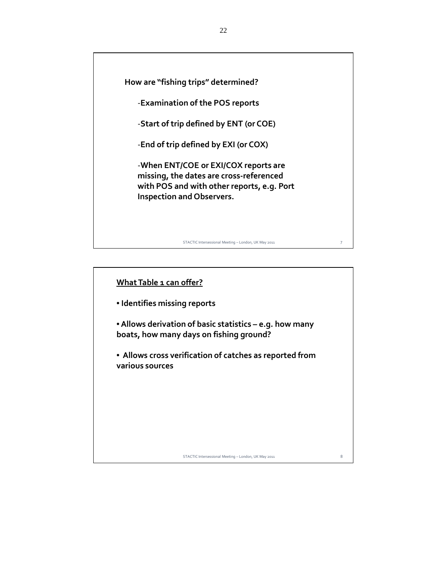

| What Table 1 can offer?                                                                            |   |
|----------------------------------------------------------------------------------------------------|---|
| • Identifies missing reports                                                                       |   |
| • Allows derivation of basic statistics – e.g. how many<br>boats, how many days on fishing ground? |   |
| • Allows cross verification of catches as reported from<br>various sources                         |   |
|                                                                                                    |   |
|                                                                                                    |   |
|                                                                                                    |   |
| STACTIC Intersessional Meeting - London, UK May 2011                                               | 8 |
|                                                                                                    |   |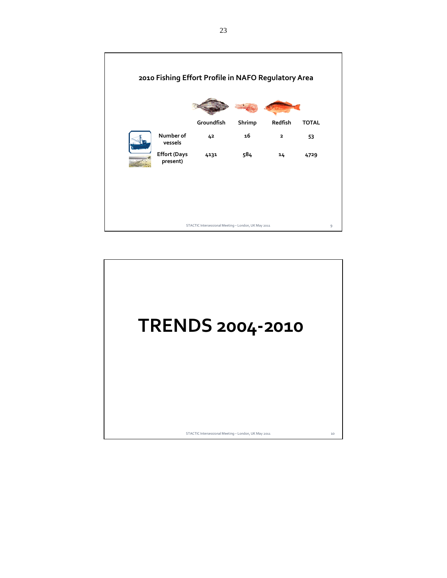

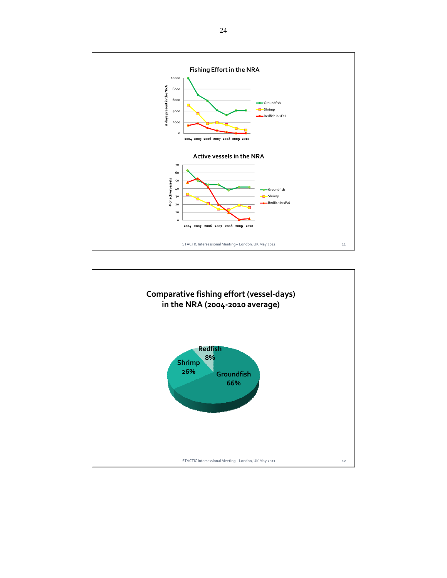

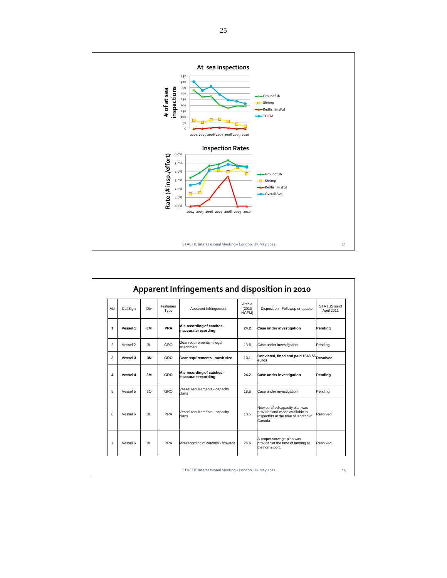

| AI#            | CallSign | Div | <b>Fisheries</b><br>Type | Article<br>(2010)<br>Apparent Infringement<br>Disposition - Followup or update<br>NCEM)         |                                         | STATUS as of<br>April 2011                                                                                          |          |  |
|----------------|----------|-----|--------------------------|-------------------------------------------------------------------------------------------------|-----------------------------------------|---------------------------------------------------------------------------------------------------------------------|----------|--|
| 1              | Vessel 1 | 3M  | PRA                      | Mis-recording of catches -<br>inaccurate recording                                              | 24.2<br><b>Case under investigation</b> |                                                                                                                     |          |  |
| $\overline{2}$ | Vessel 2 | 3L  | GRO                      | Gear requirements - illegal<br>attachment                                                       | 13.6                                    | Case under investigation                                                                                            | Pending  |  |
| 3              | Vessel 3 | 3N  | GRO                      | Convicted, fined and paid 1848,56<br>Resolved<br>13.1<br>Gear requirements - mesh size<br>euros |                                         |                                                                                                                     |          |  |
| 4              | Vessel 4 | 3M  | GRO                      | Mis-recording of catches -<br>inaccurate recording                                              | 24.2                                    | <b>Case under investigation</b>                                                                                     | Pendina  |  |
| 5              | Vessel 5 | 3O  | GRO                      | Vessel requirements - capacity<br>plans                                                         | 18.5                                    | Case under investigation                                                                                            | Pending  |  |
| 6              | Vessel 6 | 3L  | PRA                      | Vessel requirements - capacity<br>plans                                                         | 18.5                                    | New certified capacity plan was<br>provided and made available to<br>inspectors at the time of landing in<br>Canada | Resolved |  |
| $\overline{7}$ | Vessel 6 | 3L  | PRA                      | Mis-recording of catches - stowage                                                              | 24.6                                    | A proper stowage plan was<br>provided at the time of landing at<br>the home port.                                   | Resolved |  |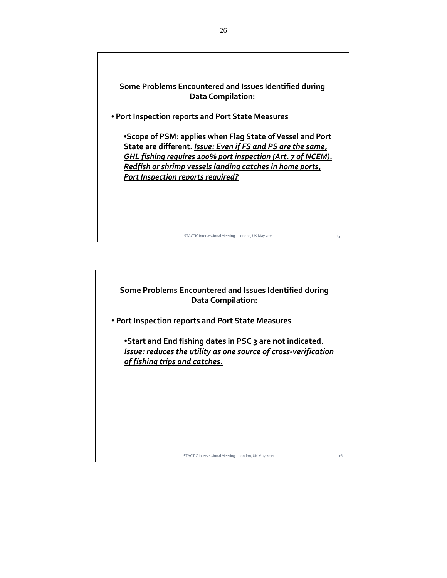**Some Problems Encountered and Issues Identified during Data Compilation:** • **Port Inspection reports and Port State Measures** •**Scope of PSM: applies when Flag State ofVessel and Port State are different.** *Issue: Even if FS and PS are the same, GHL fishing requires 100% port inspection (Art. 7 of NCEM). Redfish or shrimp vessels landing catches in home ports, Port Inspection reports required?*

STACTIC Intersessional Meeting – London, UK May 2011 15

**Some Problems Encountered and Issues Identified during Data Compilation:**

• **Port Inspection reports and Port State Measures**

•**Start and End fishing dates in PSC 3 are not indicated.** *Issue: reduces the utility as one source of cross‐verification of fishing trips and catches.*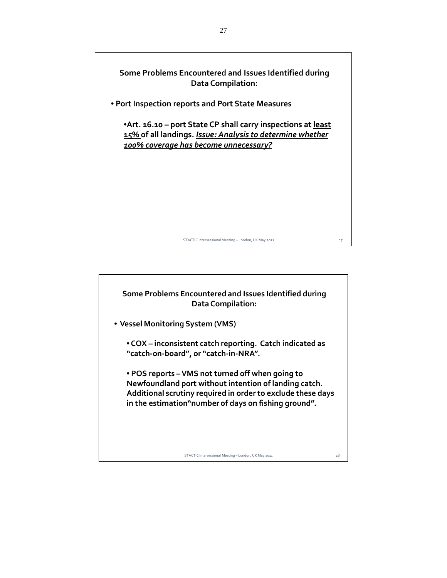



27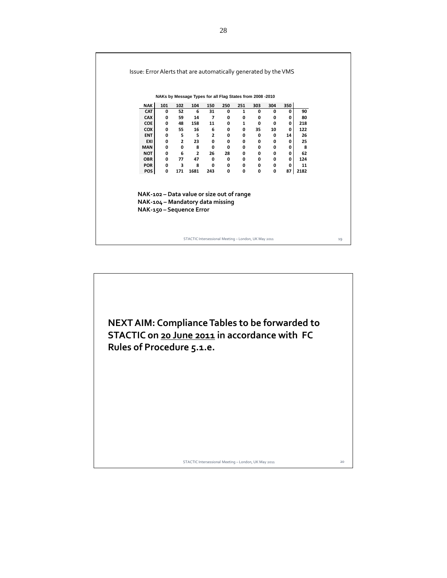|                          |                                                                               |              | NAKs by Message Types for all Flag States from 2008 -2010 |                      |             |                   |              |              |              |           |
|--------------------------|-------------------------------------------------------------------------------|--------------|-----------------------------------------------------------|----------------------|-------------|-------------------|--------------|--------------|--------------|-----------|
| <b>NAK</b>               | 101                                                                           | 102          | 104                                                       | 150                  | 250         | 251               | 303          | 304          | 350          |           |
| <b>CAT</b>               | 0                                                                             | 52           | 6                                                         | 31                   | 0           | $\mathbf{1}$      | 0            | 0            | 0            | 90        |
| <b>CAX</b><br><b>COE</b> | 0<br>0                                                                        | 59<br>48     | 14<br>158                                                 | $\overline{ }$<br>11 | 0<br>0      | 0<br>$\mathbf{1}$ | 0<br>0       | 0<br>0       | 0<br>0       | 80<br>218 |
| <b>COX</b>               | 0                                                                             | 55           | 16                                                        | 6                    | 0           | 0                 | 35           | 10           | 0            | 122       |
| <b>ENT</b>               | 0                                                                             | 5            | $\overline{\phantom{a}}$ 5                                | $\mathbf{2}$         | 0           | 0                 | 0            | 0            | 14           | 26        |
| EXI                      | 0                                                                             | $2^{\circ}$  | 23                                                        | $\mathbf{0}$         | 0           | 0                 | 0            | 0            | 0            | 25        |
| <b>MAN</b>               | 0                                                                             | 0            | $^{\circ}$ 8                                              | $\mathbf{0}$         | 0           | 0                 | 0            | 0            | 0            | 8         |
| <b>NOT</b>               | 0                                                                             | 6            | $\overline{\mathbf{2}}$                                   | 26                   | 28          | 0                 | $\mathbf{0}$ | 0            | $\mathbf{0}$ | 62        |
| <b>OBR</b>               | $\mathbf{0}$                                                                  | 77           | 47                                                        | 0                    | 0           | 0                 | $\mathbf 0$  | 0            | $\mathbf{0}$ | 124       |
| <b>POR</b>               | $\mathbf{0}$                                                                  | $\mathbf{3}$ | 8                                                         | $\mathbf{0}$         | $\mathbf 0$ | 0                 | 0            | 0            | 0            | 11        |
| POS                      | 0                                                                             | 171          | 1681                                                      | 243                  | 0           | 0                 | $\mathbf{0}$ | $\mathbf{0}$ | 87           | 2182      |
|                          | NAK-102 – Data value or size out of range<br>NAK-104 - Mandatory data missing |              | NAK-150 - Sequence Error                                  |                      |             |                   |              |              |              |           |

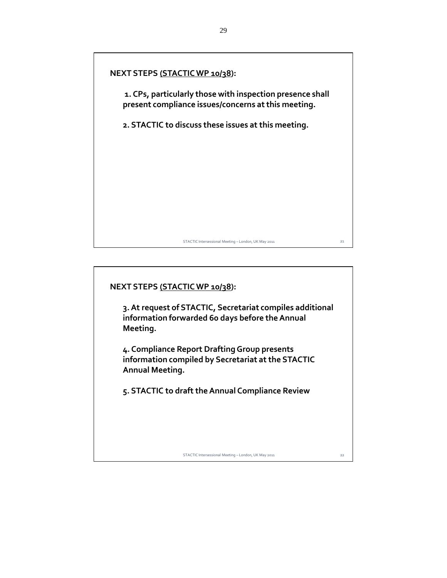

# **NEXT STEPS (STACTICWP 10/38):**

**3.At request of STACTIC, Secretariat compiles additional information forwarded 60 days before theAnnual Meeting.**

**4. Compliance Report DraftingGroup presents information compiled by Secretariat at the STACTIC Annual Meeting.**

**5. STACTIC to draft theAnnual Compliance Review**